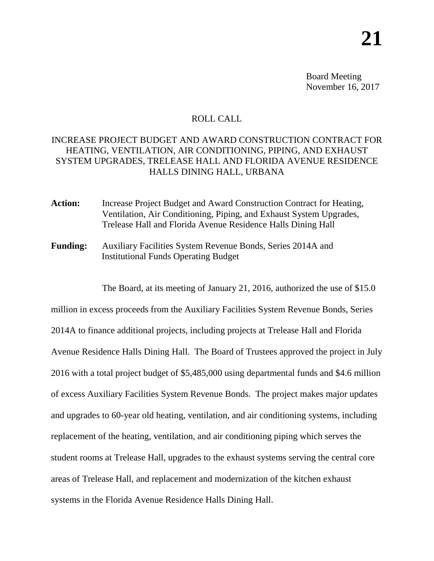Board Meeting November 16, 2017

## ROLL CALL

## INCREASE PROJECT BUDGET AND AWARD CONSTRUCTION CONTRACT FOR HEATING, VENTILATION, AIR CONDITIONING, PIPING, AND EXHAUST SYSTEM UPGRADES, TRELEASE HALL AND FLORIDA AVENUE RESIDENCE HALLS DINING HALL, URBANA

- Action: Increase Project Budget and Award Construction Contract for Heating, Ventilation, Air Conditioning, Piping, and Exhaust System Upgrades, Trelease Hall and Florida Avenue Residence Halls Dining Hall
- **Funding:** Auxiliary Facilities System Revenue Bonds, Series 2014A and Institutional Funds Operating Budget

The Board, at its meeting of January 21, 2016, authorized the use of \$15.0

million in excess proceeds from the Auxiliary Facilities System Revenue Bonds, Series 2014A to finance additional projects, including projects at Trelease Hall and Florida Avenue Residence Halls Dining Hall. The Board of Trustees approved the project in July 2016 with a total project budget of \$5,485,000 using departmental funds and \$4.6 million of excess Auxiliary Facilities System Revenue Bonds. The project makes major updates and upgrades to 60-year old heating, ventilation, and air conditioning systems, including replacement of the heating, ventilation, and air conditioning piping which serves the student rooms at Trelease Hall, upgrades to the exhaust systems serving the central core areas of Trelease Hall, and replacement and modernization of the kitchen exhaust systems in the Florida Avenue Residence Halls Dining Hall.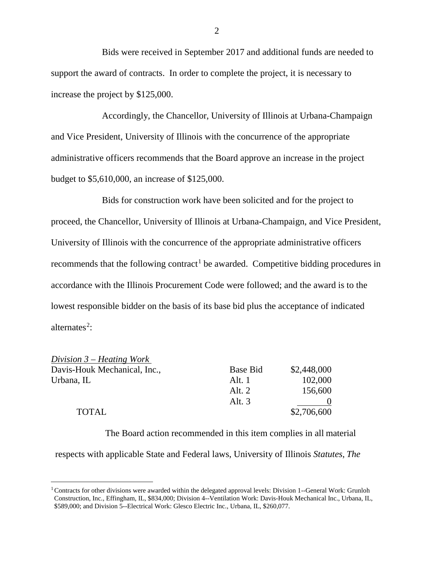Bids were received in September 2017 and additional funds are needed to support the award of contracts. In order to complete the project, it is necessary to increase the project by \$125,000.

Accordingly, the Chancellor, University of Illinois at Urbana-Champaign and Vice President, University of Illinois with the concurrence of the appropriate administrative officers recommends that the Board approve an increase in the project budget to \$5,610,000, an increase of \$125,000.

Bids for construction work have been solicited and for the project to proceed, the Chancellor, University of Illinois at Urbana-Champaign, and Vice President, University of Illinois with the concurrence of the appropriate administrative officers recommends that the following contract<sup>[1](#page-1-0)</sup> be awarded. Competitive bidding procedures in accordance with the Illinois Procurement Code were followed; and the award is to the lowest responsible bidder on the basis of its base bid plus the acceptance of indicated alternates<sup>[2](#page-1-1)</sup>:

| Division $3$ – Heating Work  |          |             |
|------------------------------|----------|-------------|
| Davis-Houk Mechanical, Inc., | Base Bid | \$2,448,000 |
| Urbana, IL                   | Alt. $1$ | 102,000     |
|                              | Alt. $2$ | 156,600     |
|                              | Alt. $3$ |             |
| <b>TOTAL</b>                 |          | \$2,706,600 |

The Board action recommended in this item complies in all material

respects with applicable State and Federal laws, University of Illinois *Statutes*, *The* 

2

<span id="page-1-1"></span><span id="page-1-0"></span><sup>&</sup>lt;sup>1</sup> Contracts for other divisions were awarded within the delegated approval levels: Division 1--General Work: Grunloh Construction, Inc., Effingham, IL, \$834,000; Division 4--Ventilation Work: Davis-Houk Mechanical Inc., Urbana, IL, \$589,000; and Division 5--Electrical Work: Glesco Electric Inc., Urbana, IL, \$260,077.